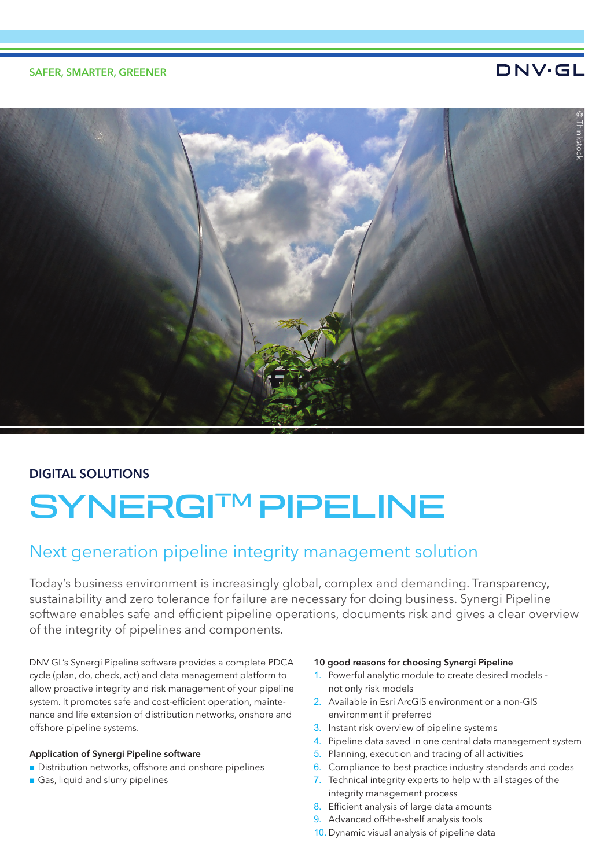### SAFER, SMARTER, GREENER

## DNV·GL



## DIGITAL SOLUTIONS

# SYNERGI™PIPELINE

# Next generation pipeline integrity management solution

Today's business environment is increasingly global, complex and demanding. Transparency, sustainability and zero tolerance for failure are necessary for doing business. Synergi Pipeline software enables safe and efficient pipeline operations, documents risk and gives a clear overview of the integrity of pipelines and components.

DNV GL's Synergi Pipeline software provides a complete PDCA cycle (plan, do, check, act) and data management platform to allow proactive integrity and risk management of your pipeline system. It promotes safe and cost-efficient operation, maintenance and life extension of distribution networks, onshore and offshore pipeline systems.

#### Application of Synergi Pipeline software

- Distribution networks, offshore and onshore pipelines
- Gas, liquid and slurry pipelines

#### 10 good reasons for choosing Synergi Pipeline

- 1. Powerful analytic module to create desired models not only risk models
- 2. Available in Esri ArcGIS environment or a non-GIS environment if preferred
- 3. Instant risk overview of pipeline systems
- 4. Pipeline data saved in one central data management system
- 5. Planning, execution and tracing of all activities
- 6. Compliance to best practice industry standards and codes
- 7. Technical integrity experts to help with all stages of the integrity management process
- 8. Efficient analysis of large data amounts
- 9. Advanced off-the-shelf analysis tools
- 10. Dynamic visual analysis of pipeline data